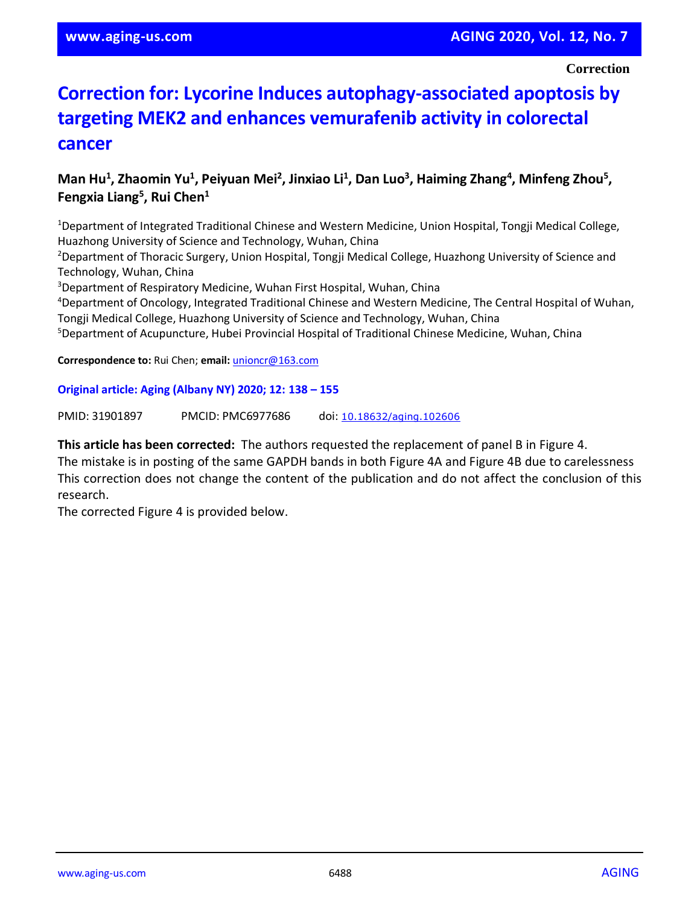**Correction**

## **Correction for: Lycorine Induces autophagy-associated apoptosis by targeting MEK2 and enhances vemurafenib activity in colorectal cancer**

## Man Hu<sup>1</sup>, Zhaomin Yu<sup>1</sup>, Peiyuan Mei<sup>2</sup>, Jinxiao Li<sup>1</sup>, Dan Luo<sup>3</sup>, Haiming Zhang<sup>4</sup>, Minfeng Zhou<sup>5</sup>, **Fengxia Liang<sup>5</sup> , Rui Chen<sup>1</sup>**

<sup>1</sup>Department of Integrated Traditional Chinese and Western Medicine, Union Hospital, Tongji Medical College, Huazhong University of Science and Technology, Wuhan, China

<sup>2</sup>Department of Thoracic Surgery, Union Hospital, Tongji Medical College, Huazhong University of Science and Technology, Wuhan, China

<sup>3</sup>Department of Respiratory Medicine, Wuhan First Hospital, Wuhan, China

<sup>4</sup>Department of Oncology, Integrated Traditional Chinese and Western Medicine, The Central Hospital of Wuhan, Tongji Medical College, Huazhong University of Science and Technology, Wuhan, China

<sup>5</sup>Department of Acupuncture, Hubei Provincial Hospital of Traditional Chinese Medicine, Wuhan, China

**Correspondence to:** Rui Chen; **email:** [unioncr@163.com](mailto:unioncr@163.com)

## **Original article: Aging (Albany NY) 2020; 12: 138 – 155**

PMID: 31901897 PMCID: PMC6977686 doi: [10.18632/aging.102606](https://doi.org/10.18632/aging.102606)

**This article has been corrected:** The authors requested the replacement of panel B in Figure 4.

The mistake is in posting of the same GAPDH bands in both Figure 4A and Figure 4B due to carelessness This correction does not change the content of the publication and do not affect the conclusion of this research.

The corrected Figure 4 is provided below.